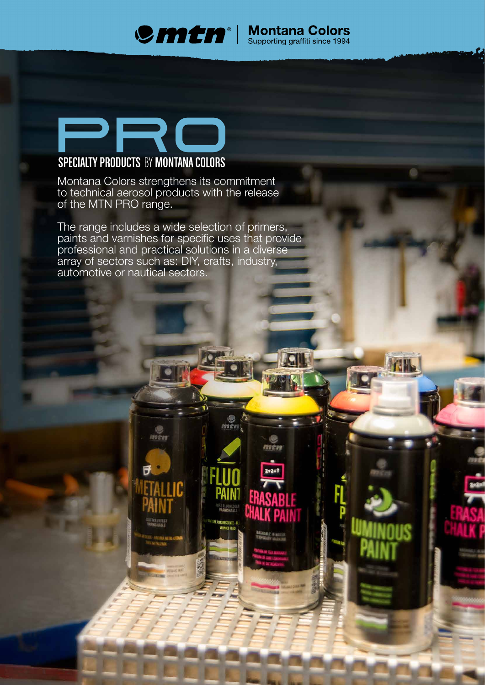

men

# PRO **SPECIALTY PRODUCTS BY MONTANA COLORS**

Montana Colors strengthens its commitment to technical aerosol products with the release of the MTN PRO range.

The range includes a wide selection of primers, paints and varnishes for specific uses that provide professional and practical solutions in a diverse array of sectors such as: DIY, crafts, industry, automotive or nautical sectors.

men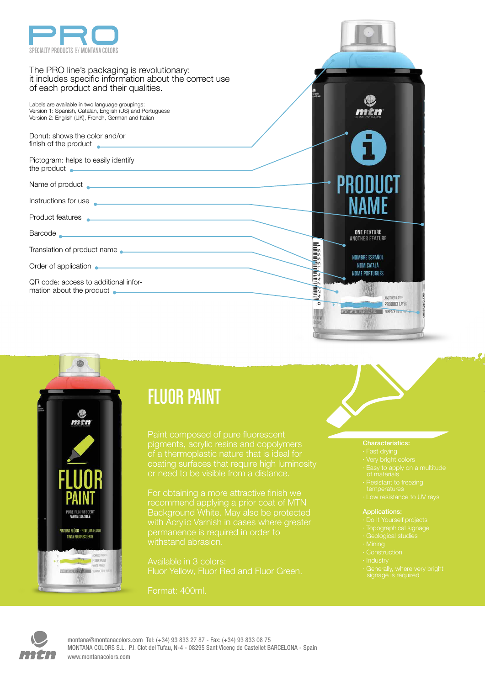



# FLUOR PAINT

of a thermoplastic nature that is ideal for coating surfaces that require high luminosity or need to be visible from a distance.

with Acrylic Varnish in cases where greater permanence is required in order to withstand abrasion.

Available in 3 colors:

Format: 400ml.

- 
- 
- 
- 
- 
- 

### Applications:

- 
- 
- 
- 
- 
- 
- 

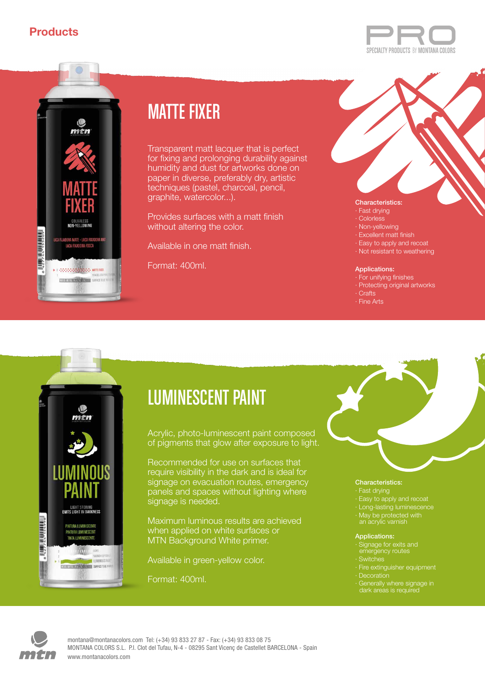



# MATTE FIXER

Transparent matt lacquer that is perfect for fixing and prolonging durability against humidity and dust for artworks done on paper in diverse, preferably dry, artistic techniques (pastel, charcoal, pencil, graphite, watercolor...).

Provides surfaces with a matt finish without altering the color.

Available in one matt finish.

Format: 400ml.



- · Fast drying
- · Colorless
- · Non-yellowing · Excellent matt finish
- · Easy to apply and recoat
- · Not resistant to weathering

### Applications:

- · For unifying finishes
- · Protecting original artworks
- · Crafts
- · Fine Arts



# LUMINESCENT PAINT

Acrylic, photo-luminescent paint composed of pigments that glow after exposure to light.

Recommended for use on surfaces that require visibility in the dark and is ideal for signage on evacuation routes, emergency panels and spaces without lighting where signage is needed.

Maximum luminous results are achieved when applied on white surfaces or MTN Background White primer.

Available in green-yellow color.

Format: 400ml.

### Characteristics:

- · Fast drying
- 
- · Long-lasting luminescence
- · May be protected with

### Applications:

- · Signage for exits and emergency routes · Switches
- · Decoration
- · Generally where signage in



www.montanacolors.com montana@montanacolors.com Tel: (+34) 93 833 27 87 - Fax: (+34) 93 833 08 75 MONTANA COLORS S.L. P.I. Clot del Tufau, N-4 - 08295 Sant Vicenç de Castellet BARCELONA - Spain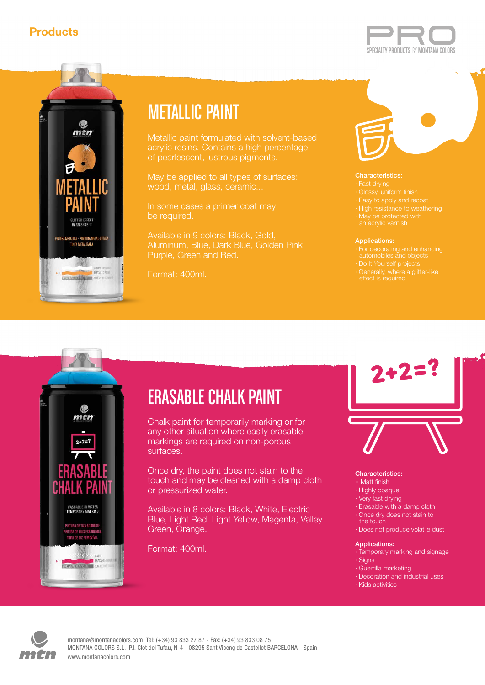



# METALLIC PAINT

acrylic resins. Contains a high percentage of pearlescent, lustrous pigments.

May be applied to all types of surfaces: wood, metal, glass, ceramic...

be required.

Available in 9 colors: Black, Gold, Aluminum, Blue, Dark Blue, Golden Pink, Purple, Green and Red.

Format: 400ml.

### Characteristics:

- 
- 
- · High resistance to weathering
- 
- 

### Applications:

- 
- · Do It Yourself projects
- 

# $2 + 2 =$ WASHABLE IN WATER<br>TEMPORARY MARKING

# ERASABLE CHALK PAINT

Chalk paint for temporarily marking or for any other situation where easily erasable markings are required on non-porous surfaces.

Once dry, the paint does not stain to the touch and may be cleaned with a damp cloth or pressurized water.

Available in 8 colors: Black, White, Electric Blue, Light Red, Light Yellow, Magenta, Valley Green, Orange.

Format: 400ml.

# $2 + 2 = ?$

### Characteristics:

- ·· Matt finish
- · Highly opaque
- · Very fast drying
- · Erasable with a damp cloth
- · Once dry does not stain to
- the touch
- · Does not produce volatile dust

### Applications:

- · Temporary marking and signage
- · Signs
- · Guerrilla marketing
- · Decoration and industrial uses
- · Kids activities



www.montanacolors.com montana@montanacolors.com Tel: (+34) 93 833 27 87 - Fax: (+34) 93 833 08 75 MONTANA COLORS S.L. P.I. Clot del Tufau, N-4 - 08295 Sant Vicenç de Castellet BARCELONA - Spain